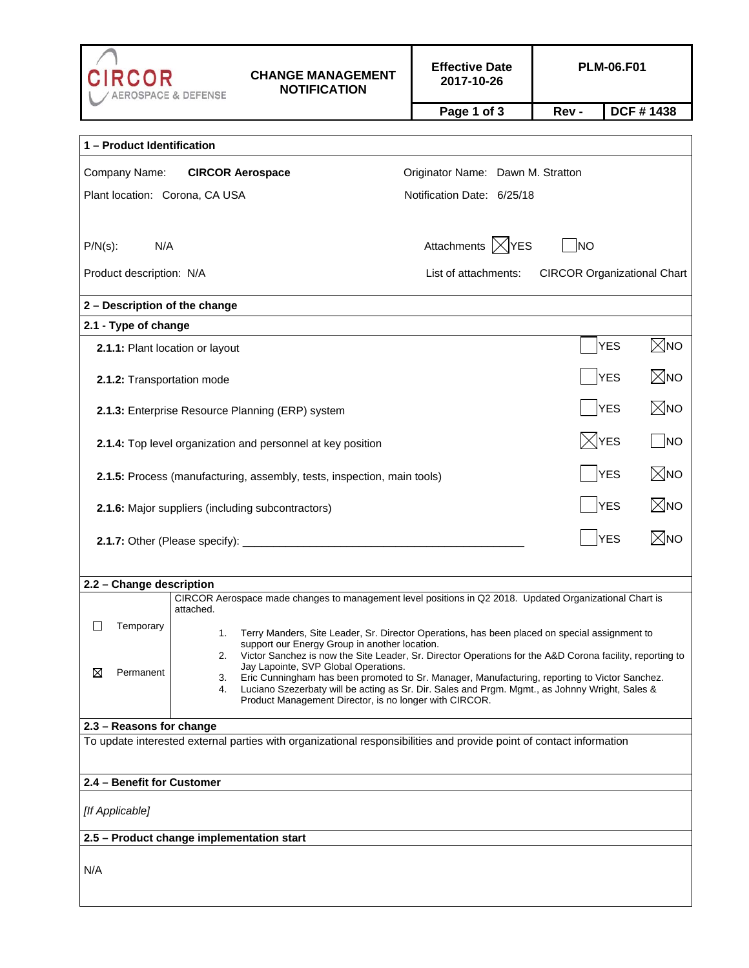| CIRCOR                                                                                                                                          | <b>ROSPACE &amp; DEFENSE</b>                                                                                                                                    | <b>CHANGE MANAGEMENT</b><br><b>NOTIFICATION</b>                                                         | <b>Effective Date</b><br>2017-10-26 |                   | <b>PLM-06.F01</b>                  |  |  |
|-------------------------------------------------------------------------------------------------------------------------------------------------|-----------------------------------------------------------------------------------------------------------------------------------------------------------------|---------------------------------------------------------------------------------------------------------|-------------------------------------|-------------------|------------------------------------|--|--|
|                                                                                                                                                 |                                                                                                                                                                 |                                                                                                         | Page 1 of 3                         | Rev -             | DCF #1438                          |  |  |
|                                                                                                                                                 |                                                                                                                                                                 |                                                                                                         |                                     |                   |                                    |  |  |
| 1 - Product Identification                                                                                                                      |                                                                                                                                                                 |                                                                                                         |                                     |                   |                                    |  |  |
| Company Name:<br><b>CIRCOR Aerospace</b><br>Originator Name: Dawn M. Stratton                                                                   |                                                                                                                                                                 |                                                                                                         |                                     |                   |                                    |  |  |
| Plant location: Corona, CA USA<br>Notification Date: 6/25/18                                                                                    |                                                                                                                                                                 |                                                                                                         |                                     |                   |                                    |  |  |
|                                                                                                                                                 |                                                                                                                                                                 |                                                                                                         |                                     |                   |                                    |  |  |
| N/A<br>$P/N(s)$ :                                                                                                                               |                                                                                                                                                                 |                                                                                                         | Attachments  X YES                  | <b>NO</b>         |                                    |  |  |
| Product description: N/A                                                                                                                        |                                                                                                                                                                 |                                                                                                         | List of attachments:                |                   | <b>CIRCOR Organizational Chart</b> |  |  |
| 2 - Description of the change                                                                                                                   |                                                                                                                                                                 |                                                                                                         |                                     |                   |                                    |  |  |
| 2.1 - Type of change                                                                                                                            |                                                                                                                                                                 |                                                                                                         |                                     |                   |                                    |  |  |
| 2.1.1: Plant location or layout                                                                                                                 |                                                                                                                                                                 |                                                                                                         |                                     |                   | $\boxtimes$ NO<br><b>YES</b>       |  |  |
| 2.1.2: Transportation mode                                                                                                                      |                                                                                                                                                                 | ⊠NO<br><b>YES</b>                                                                                       |                                     |                   |                                    |  |  |
| 2.1.3: Enterprise Resource Planning (ERP) system                                                                                                |                                                                                                                                                                 |                                                                                                         |                                     |                   | $\boxtimes$ мо<br><b>YES</b>       |  |  |
| 2.1.4: Top level organization and personnel at key position                                                                                     |                                                                                                                                                                 |                                                                                                         |                                     |                   | ⊠YES<br> NO                        |  |  |
| ⊠NO<br><b>YES</b><br>2.1.5: Process (manufacturing, assembly, tests, inspection, main tools)                                                    |                                                                                                                                                                 |                                                                                                         |                                     |                   |                                    |  |  |
| 2.1.6: Major suppliers (including subcontractors)                                                                                               |                                                                                                                                                                 |                                                                                                         |                                     |                   | ⊠No<br><b>YES</b>                  |  |  |
|                                                                                                                                                 |                                                                                                                                                                 |                                                                                                         |                                     | ⊠No<br><b>YES</b> |                                    |  |  |
|                                                                                                                                                 |                                                                                                                                                                 |                                                                                                         |                                     |                   |                                    |  |  |
| 2.2 - Change description                                                                                                                        |                                                                                                                                                                 | CIRCOR Aerospace made changes to management level positions in Q2 2018. Updated Organizational Chart is |                                     |                   |                                    |  |  |
|                                                                                                                                                 | attached.                                                                                                                                                       |                                                                                                         |                                     |                   |                                    |  |  |
| Temporary<br>$\Box$                                                                                                                             | Terry Manders, Site Leader, Sr. Director Operations, has been placed on special assignment to<br>1.                                                             |                                                                                                         |                                     |                   |                                    |  |  |
|                                                                                                                                                 | support our Energy Group in another location.<br>Victor Sanchez is now the Site Leader, Sr. Director Operations for the A&D Corona facility, reporting to<br>2. |                                                                                                         |                                     |                   |                                    |  |  |
| ⊠<br>Permanent                                                                                                                                  | Jay Lapointe, SVP Global Operations.<br>Eric Cunningham has been promoted to Sr. Manager, Manufacturing, reporting to Victor Sanchez.<br>3.                     |                                                                                                         |                                     |                   |                                    |  |  |
|                                                                                                                                                 | Luciano Szezerbaty will be acting as Sr. Dir. Sales and Prgm. Mgmt., as Johnny Wright, Sales &<br>4.<br>Product Management Director, is no longer with CIRCOR.  |                                                                                                         |                                     |                   |                                    |  |  |
|                                                                                                                                                 |                                                                                                                                                                 |                                                                                                         |                                     |                   |                                    |  |  |
| 2.3 - Reasons for change<br>To update interested external parties with organizational responsibilities and provide point of contact information |                                                                                                                                                                 |                                                                                                         |                                     |                   |                                    |  |  |
|                                                                                                                                                 |                                                                                                                                                                 |                                                                                                         |                                     |                   |                                    |  |  |
| 2.4 - Benefit for Customer                                                                                                                      |                                                                                                                                                                 |                                                                                                         |                                     |                   |                                    |  |  |
| [If Applicable]                                                                                                                                 |                                                                                                                                                                 |                                                                                                         |                                     |                   |                                    |  |  |
| 2.5 - Product change implementation start                                                                                                       |                                                                                                                                                                 |                                                                                                         |                                     |                   |                                    |  |  |
|                                                                                                                                                 |                                                                                                                                                                 |                                                                                                         |                                     |                   |                                    |  |  |
| N/A                                                                                                                                             |                                                                                                                                                                 |                                                                                                         |                                     |                   |                                    |  |  |
|                                                                                                                                                 |                                                                                                                                                                 |                                                                                                         |                                     |                   |                                    |  |  |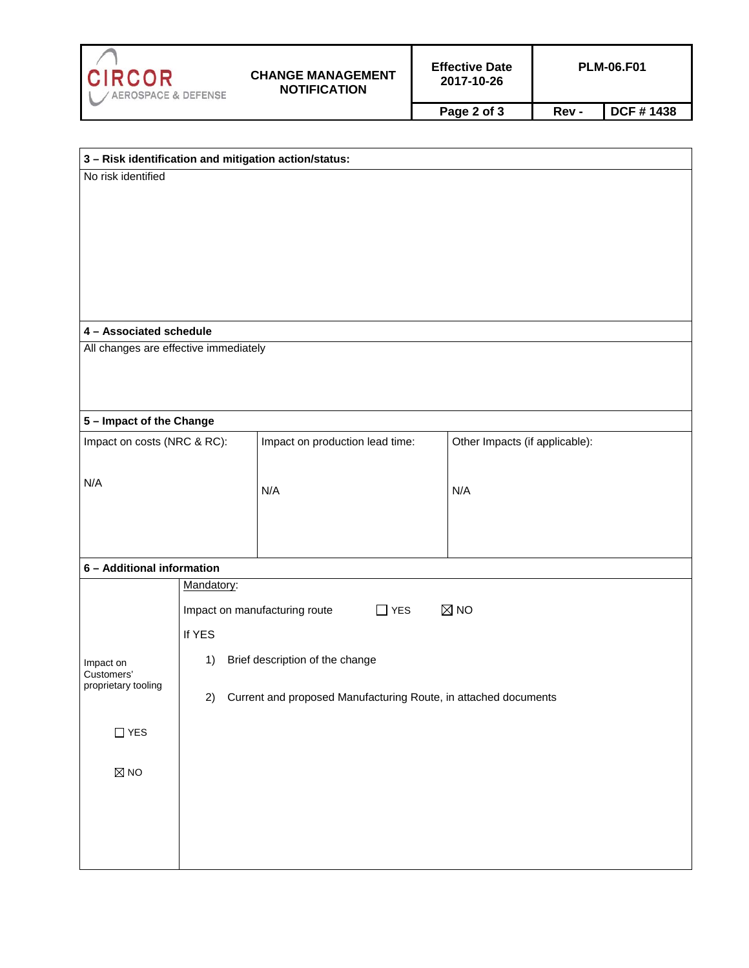

| 3 - Risk identification and mitigation action/status: |                                                                    |                                 |                                |  |  |  |  |
|-------------------------------------------------------|--------------------------------------------------------------------|---------------------------------|--------------------------------|--|--|--|--|
| No risk identified                                    |                                                                    |                                 |                                |  |  |  |  |
|                                                       |                                                                    |                                 |                                |  |  |  |  |
|                                                       |                                                                    |                                 |                                |  |  |  |  |
|                                                       |                                                                    |                                 |                                |  |  |  |  |
|                                                       |                                                                    |                                 |                                |  |  |  |  |
|                                                       |                                                                    |                                 |                                |  |  |  |  |
|                                                       |                                                                    |                                 |                                |  |  |  |  |
| 4 - Associated schedule                               |                                                                    |                                 |                                |  |  |  |  |
| All changes are effective immediately                 |                                                                    |                                 |                                |  |  |  |  |
|                                                       |                                                                    |                                 |                                |  |  |  |  |
|                                                       |                                                                    |                                 |                                |  |  |  |  |
|                                                       |                                                                    |                                 |                                |  |  |  |  |
| 5 - Impact of the Change                              |                                                                    | Impact on production lead time: | Other Impacts (if applicable): |  |  |  |  |
| Impact on costs (NRC & RC):                           |                                                                    |                                 |                                |  |  |  |  |
|                                                       |                                                                    |                                 |                                |  |  |  |  |
| N/A                                                   |                                                                    | N/A                             | N/A                            |  |  |  |  |
|                                                       |                                                                    |                                 |                                |  |  |  |  |
|                                                       |                                                                    |                                 |                                |  |  |  |  |
|                                                       |                                                                    |                                 |                                |  |  |  |  |
|                                                       | 6 - Additional information<br>Mandatory:                           |                                 |                                |  |  |  |  |
|                                                       |                                                                    |                                 |                                |  |  |  |  |
|                                                       | $\boxtimes$ NO<br>Impact on manufacturing route<br>$\Box$ YES      |                                 |                                |  |  |  |  |
|                                                       | If YES                                                             |                                 |                                |  |  |  |  |
| Impact on<br>Customers'<br>proprietary tooling        | Brief description of the change<br>1)                              |                                 |                                |  |  |  |  |
|                                                       |                                                                    |                                 |                                |  |  |  |  |
|                                                       | 2) Current and proposed Manufacturing Route, in attached documents |                                 |                                |  |  |  |  |
| $\Box$<br>$\ensuremath{\mathsf{YES}}$                 |                                                                    |                                 |                                |  |  |  |  |
|                                                       |                                                                    |                                 |                                |  |  |  |  |
| $\boxtimes$ NO                                        |                                                                    |                                 |                                |  |  |  |  |
|                                                       |                                                                    |                                 |                                |  |  |  |  |
|                                                       |                                                                    |                                 |                                |  |  |  |  |
|                                                       |                                                                    |                                 |                                |  |  |  |  |
|                                                       |                                                                    |                                 |                                |  |  |  |  |
|                                                       |                                                                    |                                 |                                |  |  |  |  |